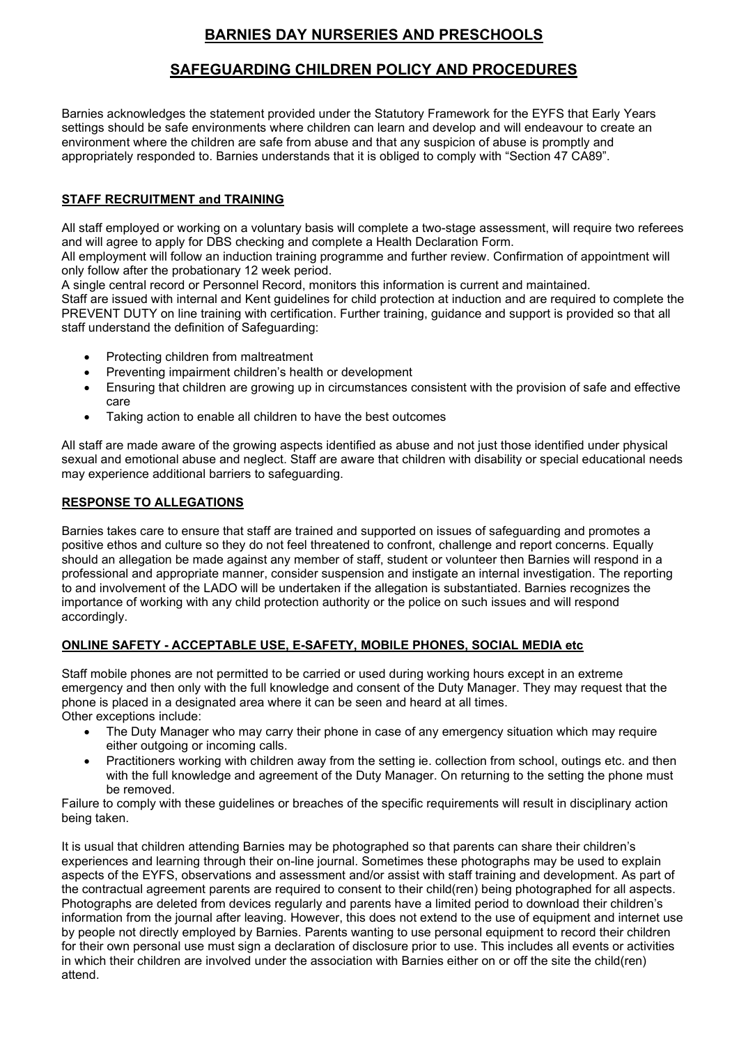# **BARNIES DAY NURSERIES AND PRESCHOOLS**

# **SAFEGUARDING CHILDREN POLICY AND PROCEDURES**

Barnies acknowledges the statement provided under the Statutory Framework for the EYFS that Early Years settings should be safe environments where children can learn and develop and will endeavour to create an environment where the children are safe from abuse and that any suspicion of abuse is promptly and appropriately responded to. Barnies understands that it is obliged to comply with "Section 47 CA89".

## **STAFF RECRUITMENT and TRAINING**

All staff employed or working on a voluntary basis will complete a two-stage assessment, will require two referees and will agree to apply for DBS checking and complete a Health Declaration Form.

All employment will follow an induction training programme and further review. Confirmation of appointment will only follow after the probationary 12 week period.

A single central record or Personnel Record, monitors this information is current and maintained.

Staff are issued with internal and Kent guidelines for child protection at induction and are required to complete the PREVENT DUTY on line training with certification. Further training, guidance and support is provided so that all staff understand the definition of Safeguarding:

- Protecting children from maltreatment
- Preventing impairment children's health or development
- Ensuring that children are growing up in circumstances consistent with the provision of safe and effective care
- Taking action to enable all children to have the best outcomes

All staff are made aware of the growing aspects identified as abuse and not just those identified under physical sexual and emotional abuse and neglect. Staff are aware that children with disability or special educational needs may experience additional barriers to safeguarding.

### **RESPONSE TO ALLEGATIONS**

Barnies takes care to ensure that staff are trained and supported on issues of safeguarding and promotes a positive ethos and culture so they do not feel threatened to confront, challenge and report concerns. Equally should an allegation be made against any member of staff, student or volunteer then Barnies will respond in a professional and appropriate manner, consider suspension and instigate an internal investigation. The reporting to and involvement of the LADO will be undertaken if the allegation is substantiated. Barnies recognizes the importance of working with any child protection authority or the police on such issues and will respond accordingly.

### **ONLINE SAFETY - ACCEPTABLE USE, E-SAFETY, MOBILE PHONES, SOCIAL MEDIA etc**

Staff mobile phones are not permitted to be carried or used during working hours except in an extreme emergency and then only with the full knowledge and consent of the Duty Manager. They may request that the phone is placed in a designated area where it can be seen and heard at all times. Other exceptions include:

- The Duty Manager who may carry their phone in case of any emergency situation which may require either outgoing or incoming calls.
- Practitioners working with children away from the setting ie, collection from school, outings etc. and then with the full knowledge and agreement of the Duty Manager. On returning to the setting the phone must be removed.

Failure to comply with these guidelines or breaches of the specific requirements will result in disciplinary action being taken.

It is usual that children attending Barnies may be photographed so that parents can share their children's experiences and learning through their on-line journal. Sometimes these photographs may be used to explain aspects of the EYFS, observations and assessment and/or assist with staff training and development. As part of the contractual agreement parents are required to consent to their child(ren) being photographed for all aspects. Photographs are deleted from devices regularly and parents have a limited period to download their children's information from the journal after leaving. However, this does not extend to the use of equipment and internet use by people not directly employed by Barnies. Parents wanting to use personal equipment to record their children for their own personal use must sign a declaration of disclosure prior to use. This includes all events or activities in which their children are involved under the association with Barnies either on or off the site the child(ren) attend.